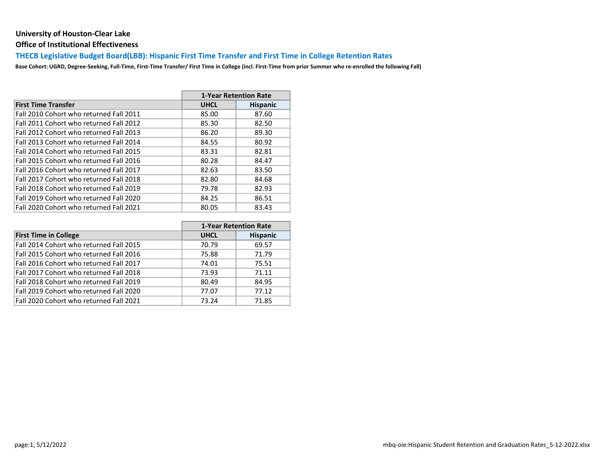Office of Institutional Effectiveness

## THECB Legislative Budget Board(LBB): Hispanic First Time Transfer and First Time in College Retention Rates

|                                         |             | <b>1-Year Retention Rate</b> |
|-----------------------------------------|-------------|------------------------------|
| <b>First Time Transfer</b>              | <b>UHCL</b> | <b>Hispanic</b>              |
| Fall 2010 Cohort who returned Fall 2011 | 85.00       | 87.60                        |
| Fall 2011 Cohort who returned Fall 2012 | 85.30       | 82.50                        |
| Fall 2012 Cohort who returned Fall 2013 | 86.20       | 89.30                        |
| Fall 2013 Cohort who returned Fall 2014 | 84.55       | 80.92                        |
| Fall 2014 Cohort who returned Fall 2015 | 83.31       | 82.81                        |
| Fall 2015 Cohort who returned Fall 2016 | 80.28       | 84.47                        |
| Fall 2016 Cohort who returned Fall 2017 | 82.63       | 83.50                        |
| Fall 2017 Cohort who returned Fall 2018 | 82.80       | 84.68                        |
| Fall 2018 Cohort who returned Fall 2019 | 79.78       | 82.93                        |
| Fall 2019 Cohort who returned Fall 2020 | 84.25       | 86.51                        |
| Fall 2020 Cohort who returned Fall 2021 | 80.05       | 83.43                        |

|                                         |             | <b>1-Year Retention Rate</b> |
|-----------------------------------------|-------------|------------------------------|
| <b>First Time in College</b>            | <b>UHCL</b> | <b>Hispanic</b>              |
| Fall 2014 Cohort who returned Fall 2015 | 70.79       | 69.57                        |
| Fall 2015 Cohort who returned Fall 2016 | 75.88       | 71.79                        |
| Fall 2016 Cohort who returned Fall 2017 | 74.01       | 75.51                        |
| Fall 2017 Cohort who returned Fall 2018 | 73.93       | 71.11                        |
| Fall 2018 Cohort who returned Fall 2019 | 80.49       | 84.95                        |
| Fall 2019 Cohort who returned Fall 2020 | 77.07       | 77.12                        |
| Fall 2020 Cohort who returned Fall 2021 | 73.24       | 71.85                        |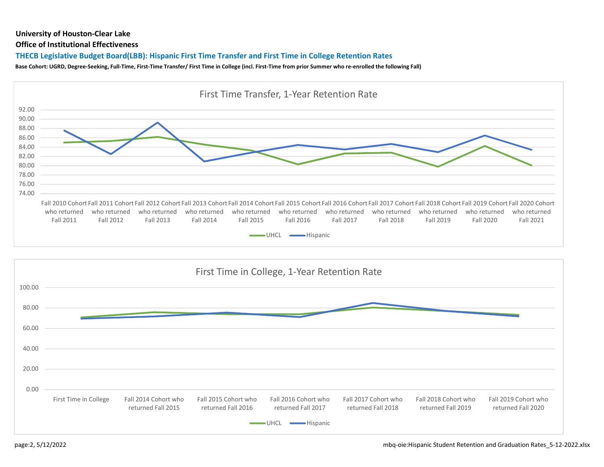#### Office of Institutional Effectiveness

## THECB Legislative Budget Board(LBB): Hispanic First Time Transfer and First Time in College Retention Rates



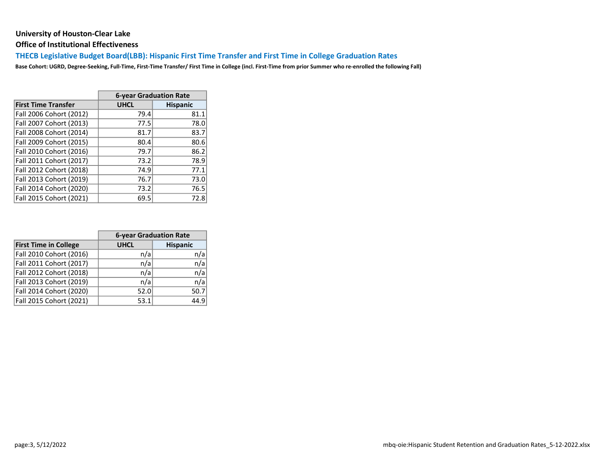Office of Institutional Effectiveness

THECB Legislative Budget Board(LBB): Hispanic First Time Transfer and First Time in College Graduation Rates

|                            | <b>6-year Graduation Rate</b> |                 |  |  |  |  |  |
|----------------------------|-------------------------------|-----------------|--|--|--|--|--|
| <b>First Time Transfer</b> | <b>UHCL</b>                   | <b>Hispanic</b> |  |  |  |  |  |
| Fall 2006 Cohort (2012)    | 79.4                          | 81.1            |  |  |  |  |  |
| Fall 2007 Cohort (2013)    | 77.5                          | 78.0            |  |  |  |  |  |
| Fall 2008 Cohort (2014)    | 81.7                          | 83.7            |  |  |  |  |  |
| Fall 2009 Cohort (2015)    | 80.4                          | 80.6            |  |  |  |  |  |
| Fall 2010 Cohort (2016)    | 79.7                          | 86.2            |  |  |  |  |  |
| Fall 2011 Cohort (2017)    | 73.2                          | 78.9            |  |  |  |  |  |
| Fall 2012 Cohort (2018)    | 74.9                          | 77.1            |  |  |  |  |  |
| Fall 2013 Cohort (2019)    | 76.7                          | 73.0            |  |  |  |  |  |
| Fall 2014 Cohort (2020)    | 73.2                          | 76.5            |  |  |  |  |  |
| Fall 2015 Cohort (2021)    | 69.5                          | 72.8            |  |  |  |  |  |

|                              | <b>6-year Graduation Rate</b> |                 |  |  |  |  |  |
|------------------------------|-------------------------------|-----------------|--|--|--|--|--|
| <b>First Time in College</b> | <b>UHCL</b>                   | <b>Hispanic</b> |  |  |  |  |  |
| Fall 2010 Cohort (2016)      | n/a                           | n/a             |  |  |  |  |  |
| Fall 2011 Cohort (2017)      | n/a                           | n/a             |  |  |  |  |  |
| Fall 2012 Cohort (2018)      | n/a                           | n/a             |  |  |  |  |  |
| Fall 2013 Cohort (2019)      | n/a                           | n/a             |  |  |  |  |  |
| Fall 2014 Cohort (2020)      | 52.0                          | 50.7            |  |  |  |  |  |
| Fall 2015 Cohort (2021)      | 53.1                          | 44.9            |  |  |  |  |  |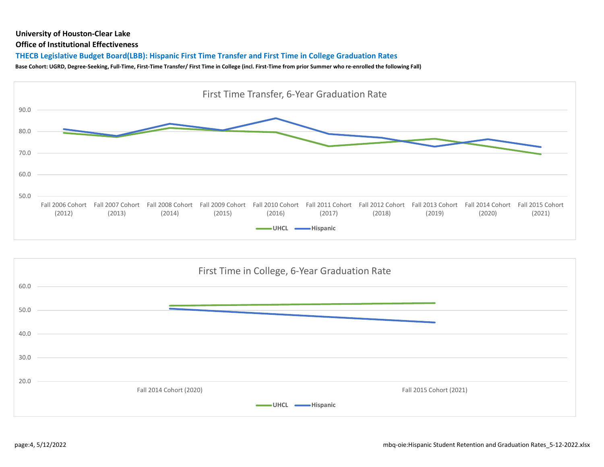#### Office of Institutional Effectiveness

## THECB Legislative Budget Board(LBB): Hispanic First Time Transfer and First Time in College Graduation Rates



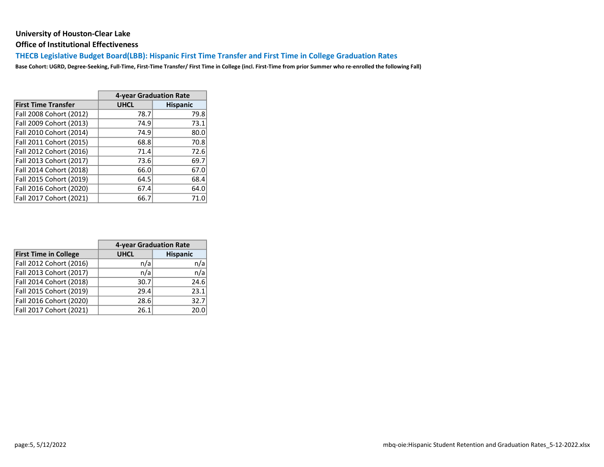Office of Institutional Effectiveness

THECB Legislative Budget Board(LBB): Hispanic First Time Transfer and First Time in College Graduation Rates

|                            | 4-year Graduation Rate |                 |  |  |  |  |  |
|----------------------------|------------------------|-----------------|--|--|--|--|--|
| <b>First Time Transfer</b> | <b>UHCL</b>            | <b>Hispanic</b> |  |  |  |  |  |
| Fall 2008 Cohort (2012)    | 78.7                   | 79.8            |  |  |  |  |  |
| Fall 2009 Cohort (2013)    | 74.9                   | 73.1            |  |  |  |  |  |
| Fall 2010 Cohort (2014)    | 74.9                   | 80.0            |  |  |  |  |  |
| Fall 2011 Cohort (2015)    | 68.8                   | 70.8            |  |  |  |  |  |
| Fall 2012 Cohort (2016)    | 71.4                   | 72.6            |  |  |  |  |  |
| Fall 2013 Cohort (2017)    | 73.6                   | 69.7            |  |  |  |  |  |
| Fall 2014 Cohort (2018)    | 66.0                   | 67.0            |  |  |  |  |  |
| Fall 2015 Cohort (2019)    | 64.5                   | 68.4            |  |  |  |  |  |
| Fall 2016 Cohort (2020)    | 67.4                   | 64.0            |  |  |  |  |  |
| Fall 2017 Cohort (2021)    | 66.7                   | 71.0            |  |  |  |  |  |

|                              | 4-year Graduation Rate |                 |  |  |  |  |
|------------------------------|------------------------|-----------------|--|--|--|--|
| <b>First Time in College</b> | <b>UHCL</b>            | <b>Hispanic</b> |  |  |  |  |
| Fall 2012 Cohort (2016)      | n/a                    | n/a             |  |  |  |  |
| Fall 2013 Cohort (2017)      | n/a                    | n/a             |  |  |  |  |
| Fall 2014 Cohort (2018)      | 30.7                   | 24.6            |  |  |  |  |
| Fall 2015 Cohort (2019)      | 29.4                   | 23.1            |  |  |  |  |
| Fall 2016 Cohort (2020)      | 28.6                   | 32.7            |  |  |  |  |
| Fall 2017 Cohort (2021)      | 26.1                   | 20.0            |  |  |  |  |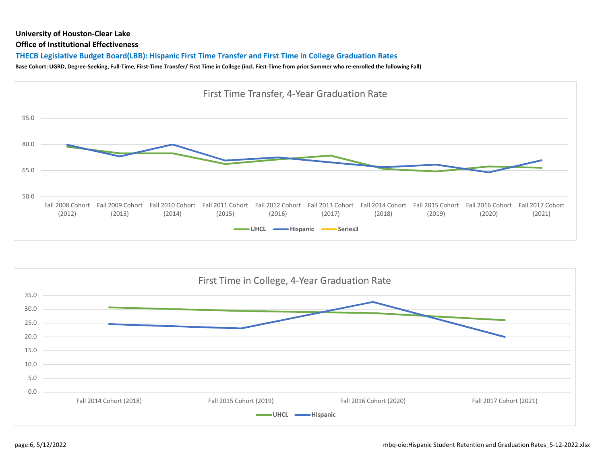#### Office of Institutional Effectiveness

## THECB Legislative Budget Board(LBB): Hispanic First Time Transfer and First Time in College Graduation Rates



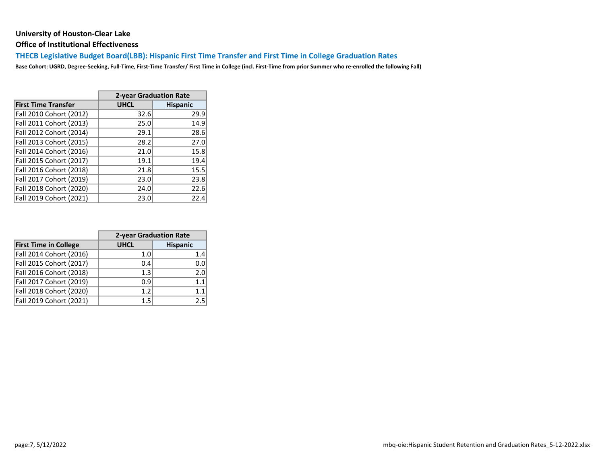Office of Institutional Effectiveness

THECB Legislative Budget Board(LBB): Hispanic First Time Transfer and First Time in College Graduation Rates

|                            | 2-year Graduation Rate |                 |  |  |  |  |  |
|----------------------------|------------------------|-----------------|--|--|--|--|--|
| <b>First Time Transfer</b> | <b>UHCL</b>            | <b>Hispanic</b> |  |  |  |  |  |
| Fall 2010 Cohort (2012)    | 32.6                   | 29.9            |  |  |  |  |  |
| Fall 2011 Cohort (2013)    | 25.0                   | 14.9            |  |  |  |  |  |
| Fall 2012 Cohort (2014)    | 29.1                   | 28.6            |  |  |  |  |  |
| Fall 2013 Cohort (2015)    | 28.2                   | 27.0            |  |  |  |  |  |
| Fall 2014 Cohort (2016)    | 21.0                   | 15.8            |  |  |  |  |  |
| Fall 2015 Cohort (2017)    | 19.1                   | 19.4            |  |  |  |  |  |
| Fall 2016 Cohort (2018)    | 21.8                   | 15.5            |  |  |  |  |  |
| Fall 2017 Cohort (2019)    | 23.0                   | 23.8            |  |  |  |  |  |
| Fall 2018 Cohort (2020)    | 24.0                   | 22.6            |  |  |  |  |  |
| Fall 2019 Cohort (2021)    | 23.0                   | 22.4            |  |  |  |  |  |

|                              | 2-year Graduation Rate |                 |  |  |  |  |  |
|------------------------------|------------------------|-----------------|--|--|--|--|--|
| <b>First Time in College</b> | <b>UHCL</b>            | <b>Hispanic</b> |  |  |  |  |  |
| Fall 2014 Cohort (2016)      | 1.0                    | 1.4             |  |  |  |  |  |
| Fall 2015 Cohort (2017)      | 0.4                    | 0.0             |  |  |  |  |  |
| Fall 2016 Cohort (2018)      | 1.3                    | 2.0             |  |  |  |  |  |
| Fall 2017 Cohort (2019)      | 0.9                    | 1.1             |  |  |  |  |  |
| Fall 2018 Cohort (2020)      | 1.2                    | 1.1             |  |  |  |  |  |
| Fall 2019 Cohort (2021)      | 15                     | 25              |  |  |  |  |  |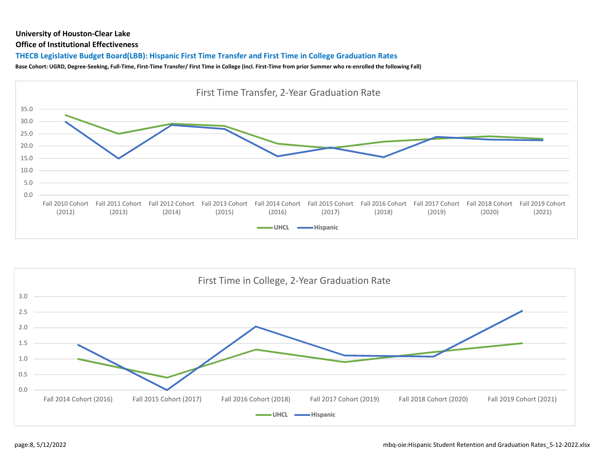#### Office of Institutional Effectiveness

## THECB Legislative Budget Board(LBB): Hispanic First Time Transfer and First Time in College Graduation Rates



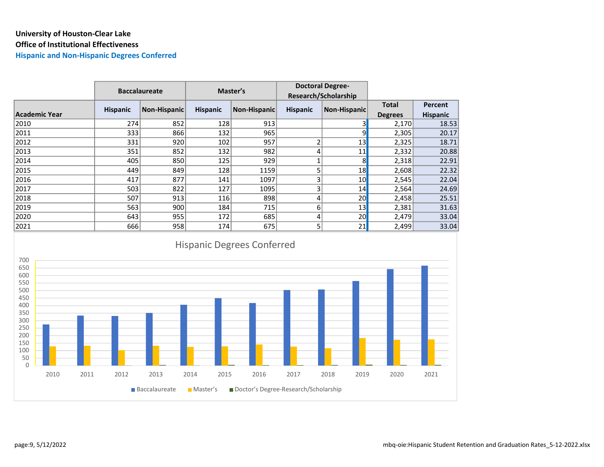# University of Houston-Clear Lake Office of Institutional Effectiveness

Hispanic and Non-Hispanic Degrees Conferred

|               |                 | <b>Baccalaureate</b> |                 | Master's     | <b>Doctoral Degree-</b><br>Research/Scholarship |                     |                |                 |
|---------------|-----------------|----------------------|-----------------|--------------|-------------------------------------------------|---------------------|----------------|-----------------|
|               |                 |                      |                 |              |                                                 |                     |                |                 |
|               | <b>Hispanic</b> | Non-Hispanic         | <b>Hispanic</b> | Non-Hispanic | <b>Hispanic</b>                                 | <b>Non-Hispanic</b> | <b>Total</b>   | Percent         |
| Academic Year |                 |                      |                 |              |                                                 |                     | <b>Degrees</b> | <b>Hispanic</b> |
| 2010          | 274             | 852                  | 128             | 913          |                                                 |                     | 2,170          | 18.53           |
| 2011          | 333             | 866                  | 132             | 965          |                                                 | ٩                   | 2,305          | 20.17           |
| 2012          | 331             | 920                  | 102             | 957          |                                                 | 13                  | 2,325          | 18.71           |
| 2013          | 351             | 852                  | 132             | 982          | 4                                               | 11                  | 2,332          | 20.88           |
| 2014          | 405             | 850                  | 125             | 929          |                                                 | 8 <sup>1</sup>      | 2,318          | 22.91           |
| 2015          | 449             | 849                  | 128             | 1159         |                                                 | 18                  | 2,608          | 22.32           |
| 2016          | 417             | 877                  | 141             | 1097         | 3                                               | 10 <sub>l</sub>     | 2,545          | 22.04           |
| 2017          | 503             | 822                  | 127             | 1095         | 3                                               | 14                  | 2,564          | 24.69           |
| 2018          | 507             | 913                  | 116             | 898          | 4                                               | 20 <sub>l</sub>     | 2,458          | 25.51           |
| 2019          | 563             | 900                  | 184             | 715          | 6                                               | 13                  | 2,381          | 31.63           |
| 2020          | 643             | 955                  | 172             | 685          | 4                                               | 20 <sub>l</sub>     | 2,479          | 33.04           |
| 2021          | 666             | 958                  | 174             | 675          | 5                                               | 21                  | 2,499          | 33.04           |